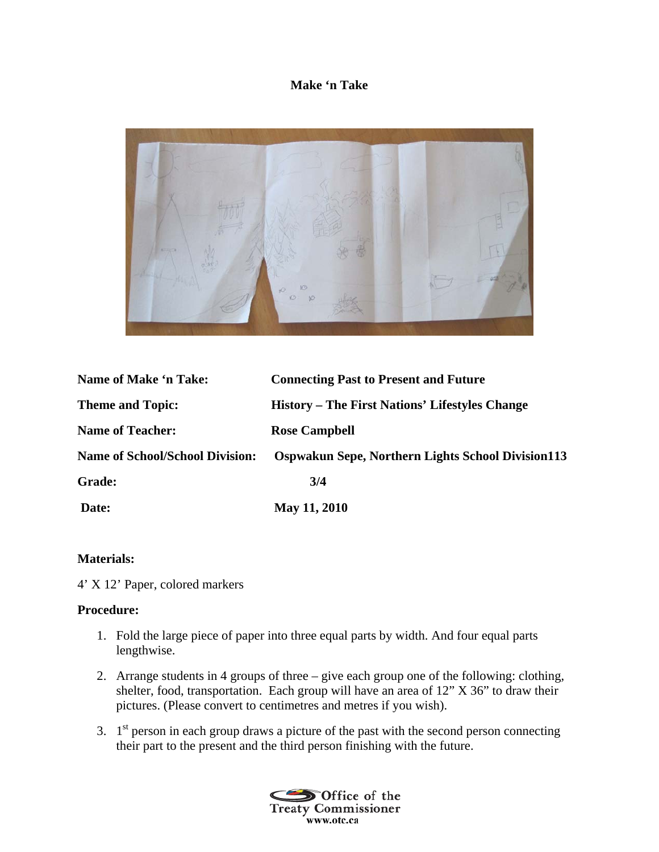## **Make 'n Take**



| Name of Make 'n Take:                  | <b>Connecting Past to Present and Future</b>             |
|----------------------------------------|----------------------------------------------------------|
| <b>Theme and Topic:</b>                | History – The First Nations' Lifestyles Change           |
| <b>Name of Teacher:</b>                | <b>Rose Campbell</b>                                     |
| <b>Name of School/School Division:</b> | <b>Ospwakun Sepe, Northern Lights School Division113</b> |
| <b>Grade:</b>                          | 3/4                                                      |
| Date:                                  | May 11, 2010                                             |

## **Materials:**

4' X 12' Paper, colored markers

## **Procedure:**

- 1. Fold the large piece of paper into three equal parts by width. And four equal parts lengthwise.
- 2. Arrange students in 4 groups of three give each group one of the following: clothing, shelter, food, transportation. Each group will have an area of 12" X 36" to draw their pictures. (Please convert to centimetres and metres if you wish).
- 3.  $1<sup>st</sup>$  person in each group draws a picture of the past with the second person connecting their part to the present and the third person finishing with the future.